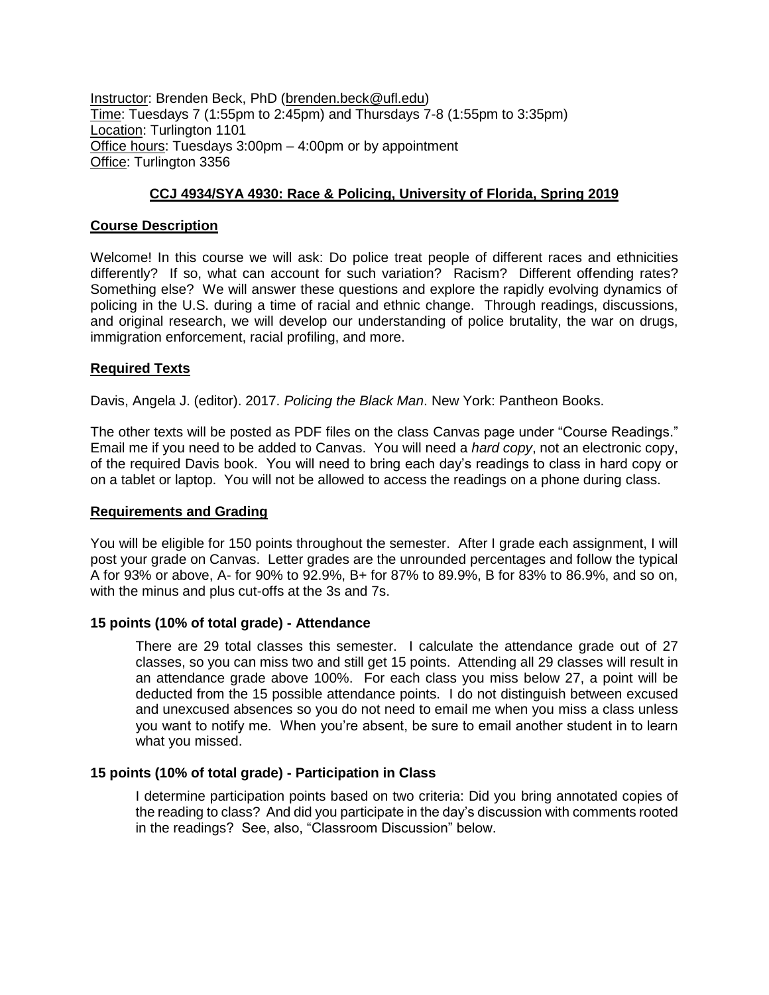Instructor: Brenden Beck, PhD (brenden.beck@ufl.edu) Time: Tuesdays 7 (1:55pm to 2:45pm) and Thursdays 7-8 (1:55pm to 3:35pm) Location: Turlington 1101 Office hours: Tuesdays 3:00pm – 4:00pm or by appointment Office: Turlington 3356

# **CCJ 4934/SYA 4930: Race & Policing, University of Florida, Spring 2019**

#### **Course Description**

Welcome! In this course we will ask: Do police treat people of different races and ethnicities differently? If so, what can account for such variation? Racism? Different offending rates? Something else? We will answer these questions and explore the rapidly evolving dynamics of policing in the U.S. during a time of racial and ethnic change. Through readings, discussions, and original research, we will develop our understanding of police brutality, the war on drugs, immigration enforcement, racial profiling, and more.

#### **Required Texts**

Davis, Angela J. (editor). 2017. *Policing the Black Man*. New York: Pantheon Books.

The other texts will be posted as PDF files on the class Canvas page under "Course Readings." Email me if you need to be added to Canvas. You will need a *hard copy*, not an electronic copy, of the required Davis book. You will need to bring each day's readings to class in hard copy or on a tablet or laptop. You will not be allowed to access the readings on a phone during class.

#### **Requirements and Grading**

You will be eligible for 150 points throughout the semester. After I grade each assignment, I will post your grade on Canvas. Letter grades are the unrounded percentages and follow the typical A for 93% or above, A- for 90% to 92.9%, B+ for 87% to 89.9%, B for 83% to 86.9%, and so on, with the minus and plus cut-offs at the 3s and 7s.

#### **15 points (10% of total grade) - Attendance**

There are 29 total classes this semester. I calculate the attendance grade out of 27 classes, so you can miss two and still get 15 points. Attending all 29 classes will result in an attendance grade above 100%. For each class you miss below 27, a point will be deducted from the 15 possible attendance points. I do not distinguish between excused and unexcused absences so you do not need to email me when you miss a class unless you want to notify me. When you're absent, be sure to email another student in to learn what you missed.

## **15 points (10% of total grade) - Participation in Class**

I determine participation points based on two criteria: Did you bring annotated copies of the reading to class? And did you participate in the day's discussion with comments rooted in the readings? See, also, "Classroom Discussion" below.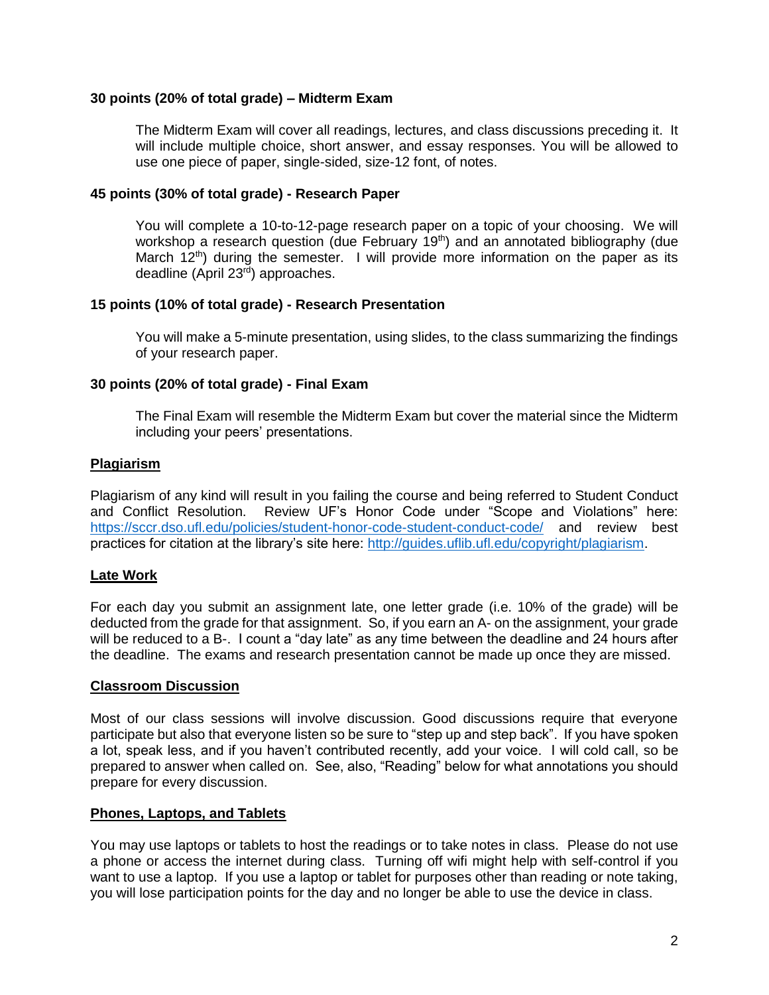## **30 points (20% of total grade) – Midterm Exam**

The Midterm Exam will cover all readings, lectures, and class discussions preceding it. It will include multiple choice, short answer, and essay responses. You will be allowed to use one piece of paper, single-sided, size-12 font, of notes.

## **45 points (30% of total grade) - Research Paper**

You will complete a 10-to-12-page research paper on a topic of your choosing. We will workshop a research question (due February 19<sup>th</sup>) and an annotated bibliography (due March  $12<sup>th</sup>$ ) during the semester. I will provide more information on the paper as its deadline (April 23rd) approaches.

## **15 points (10% of total grade) - Research Presentation**

You will make a 5-minute presentation, using slides, to the class summarizing the findings of your research paper.

## **30 points (20% of total grade) - Final Exam**

The Final Exam will resemble the Midterm Exam but cover the material since the Midterm including your peers' presentations.

## **Plagiarism**

Plagiarism of any kind will result in you failing the course and being referred to Student Conduct and Conflict Resolution. Review UF's Honor Code under "Scope and Violations" here: <https://sccr.dso.ufl.edu/policies/student-honor-code-student-conduct-code/> and review best practices for citation at the library's site here: [http://guides.uflib.ufl.edu/copyright/plagiarism.](http://guides.uflib.ufl.edu/copyright/plagiarism)

# **Late Work**

For each day you submit an assignment late, one letter grade (i.e. 10% of the grade) will be deducted from the grade for that assignment. So, if you earn an A- on the assignment, your grade will be reduced to a B-. I count a "day late" as any time between the deadline and 24 hours after the deadline. The exams and research presentation cannot be made up once they are missed.

## **Classroom Discussion**

Most of our class sessions will involve discussion. Good discussions require that everyone participate but also that everyone listen so be sure to "step up and step back". If you have spoken a lot, speak less, and if you haven't contributed recently, add your voice. I will cold call, so be prepared to answer when called on. See, also, "Reading" below for what annotations you should prepare for every discussion.

## **Phones, Laptops, and Tablets**

You may use laptops or tablets to host the readings or to take notes in class. Please do not use a phone or access the internet during class. Turning off wifi might help with self-control if you want to use a laptop. If you use a laptop or tablet for purposes other than reading or note taking, you will lose participation points for the day and no longer be able to use the device in class.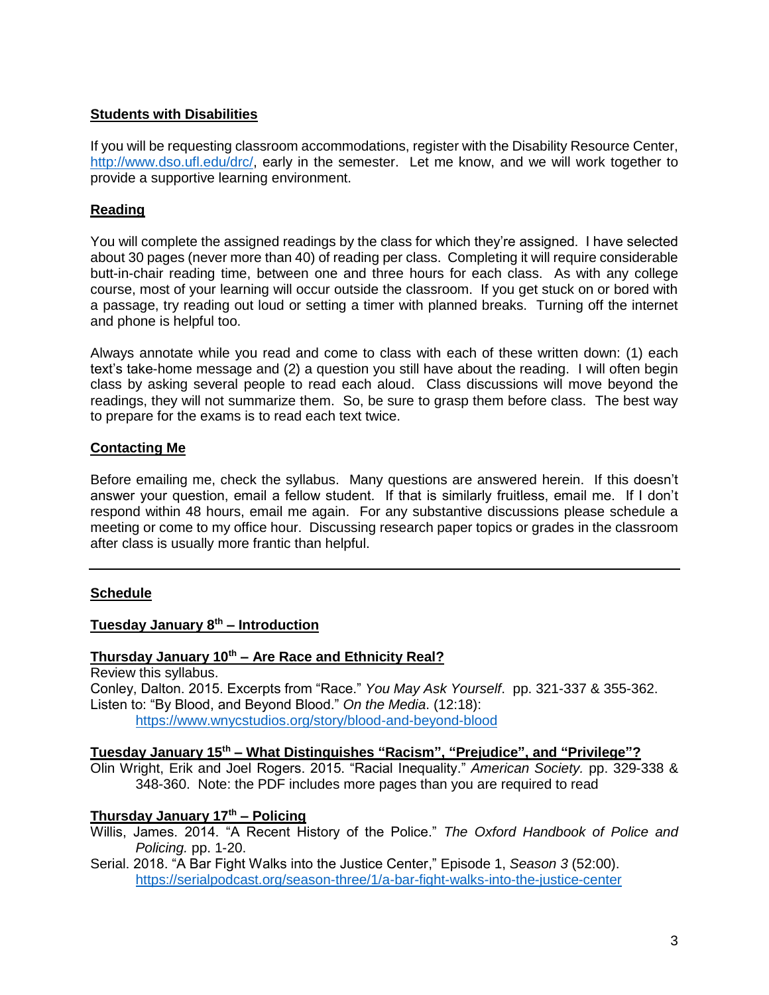## **Students with Disabilities**

If you will be requesting classroom accommodations, register with the Disability Resource Center, [http://www.dso.ufl.edu/drc/,](http://www.dso.ufl.edu/drc/) early in the semester. Let me know, and we will work together to provide a supportive learning environment.

## **Reading**

You will complete the assigned readings by the class for which they're assigned. I have selected about 30 pages (never more than 40) of reading per class. Completing it will require considerable butt-in-chair reading time, between one and three hours for each class. As with any college course, most of your learning will occur outside the classroom. If you get stuck on or bored with a passage, try reading out loud or setting a timer with planned breaks. Turning off the internet and phone is helpful too.

Always annotate while you read and come to class with each of these written down: (1) each text's take-home message and (2) a question you still have about the reading. I will often begin class by asking several people to read each aloud. Class discussions will move beyond the readings, they will not summarize them. So, be sure to grasp them before class. The best way to prepare for the exams is to read each text twice.

## **Contacting Me**

Before emailing me, check the syllabus. Many questions are answered herein. If this doesn't answer your question, email a fellow student. If that is similarly fruitless, email me. If I don't respond within 48 hours, email me again. For any substantive discussions please schedule a meeting or come to my office hour. Discussing research paper topics or grades in the classroom after class is usually more frantic than helpful.

# **Schedule**

# **Tuesday January 8th – Introduction**

## **Thursday January 10th – Are Race and Ethnicity Real?**

Review this syllabus.

Conley, Dalton. 2015. Excerpts from "Race." *You May Ask Yourself*. pp. 321-337 & 355-362. Listen to: "By Blood, and Beyond Blood." *On the Media*. (12:18): <https://www.wnycstudios.org/story/blood-and-beyond-blood>

## **Tuesday January 15th – What Distinguishes "Racism", "Prejudice", and "Privilege"?**

Olin Wright, Erik and Joel Rogers. 2015. "Racial Inequality." *American Society.* pp. 329-338 & 348-360. Note: the PDF includes more pages than you are required to read

## **Thursday January 17th – Policing**

- Willis, James. 2014. "A Recent History of the Police." *The Oxford Handbook of Police and Policing.* pp. 1-20.
- Serial. 2018. "A Bar Fight Walks into the Justice Center," Episode 1, *Season 3* (52:00). <https://serialpodcast.org/season-three/1/a-bar-fight-walks-into-the-justice-center>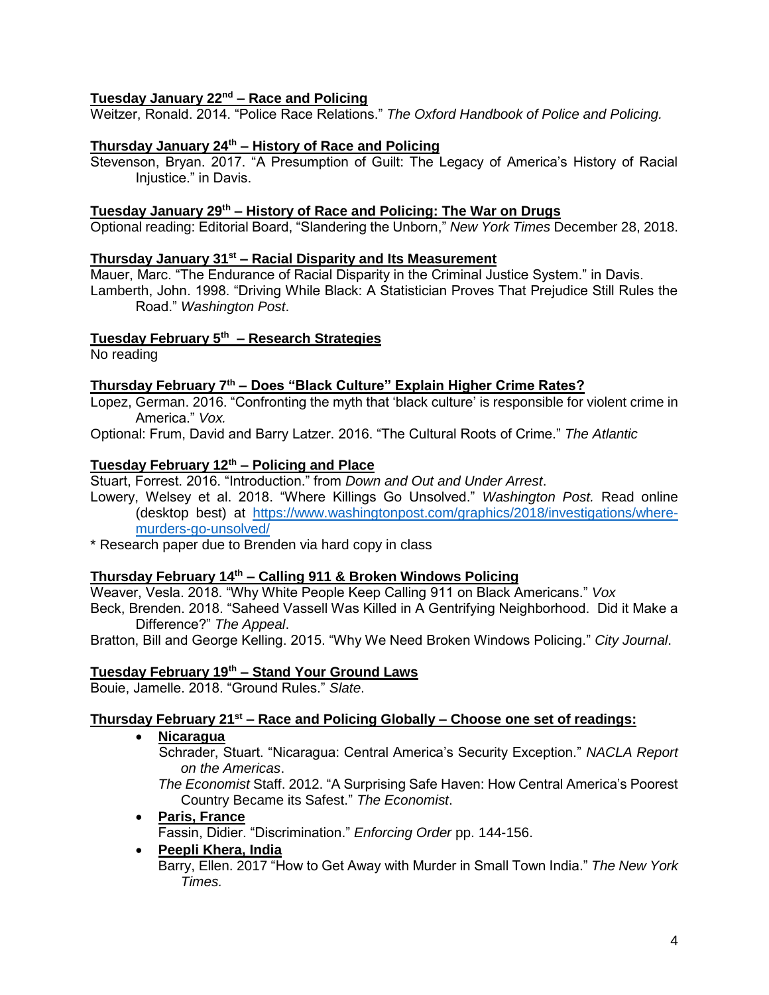### **Tuesday January 22nd – Race and Policing**

Weitzer, Ronald. 2014. "Police Race Relations." *The Oxford Handbook of Police and Policing.*

#### **Thursday January 24th – History of Race and Policing**

Stevenson, Bryan. 2017. "A Presumption of Guilt: The Legacy of America's History of Racial Injustice." in Davis.

#### **Tuesday January 29th – History of Race and Policing: The War on Drugs**

Optional reading: Editorial Board, "Slandering the Unborn," *New York Times* December 28, 2018.

#### **Thursday January 31st – Racial Disparity and Its Measurement**

Mauer, Marc. "The Endurance of Racial Disparity in the Criminal Justice System." in Davis. Lamberth, John. 1998. "Driving While Black: A Statistician Proves That Prejudice Still Rules the Road." *Washington Post*.

#### **Tuesday February 5th – Research Strategies**

No reading

#### **Thursday February 7th – Does "Black Culture" Explain Higher Crime Rates?**

Lopez, German. 2016. "Confronting the myth that 'black culture' is responsible for violent crime in America." *Vox.*

Optional: Frum, David and Barry Latzer. 2016. "The Cultural Roots of Crime." *The Atlantic*

#### **Tuesday February 12th – Policing and Place**

Stuart, Forrest. 2016. "Introduction." from *Down and Out and Under Arrest*.

Lowery, Welsey et al. 2018. "Where Killings Go Unsolved." *Washington Post.* Read online (desktop best) at [https://www.washingtonpost.com/graphics/2018/investigations/where](https://www.washingtonpost.com/graphics/2018/investigations/where-murders-go-unsolved/)[murders-go-unsolved/](https://www.washingtonpost.com/graphics/2018/investigations/where-murders-go-unsolved/)

\* Research paper due to Brenden via hard copy in class

### **Thursday February 14th – Calling 911 & Broken Windows Policing**

Weaver, Vesla. 2018. "Why White People Keep Calling 911 on Black Americans." *Vox*

Beck, Brenden. 2018. "Saheed Vassell Was Killed in A Gentrifying Neighborhood. Did it Make a Difference?" *The Appeal*.

Bratton, Bill and George Kelling. 2015. "Why We Need Broken Windows Policing." *City Journal*.

#### **Tuesday February 19th – Stand Your Ground Laws**

Bouie, Jamelle. 2018. "Ground Rules." *Slate*.

#### **Thursday February 21st – Race and Policing Globally – Choose one set of readings:**

**Nicaragua** 

 Schrader, Stuart. "Nicaragua: Central America's Security Exception." *NACLA Report on the Americas*.

*The Economist* Staff. 2012. "A Surprising Safe Haven: How Central America's Poorest Country Became its Safest." *The Economist*.

#### **Paris, France**

Fassin, Didier. "Discrimination." *Enforcing Order* pp. 144-156.

#### **Peepli Khera, India**

Barry, Ellen. 2017 "How to Get Away with Murder in Small Town India." *The New York Times.*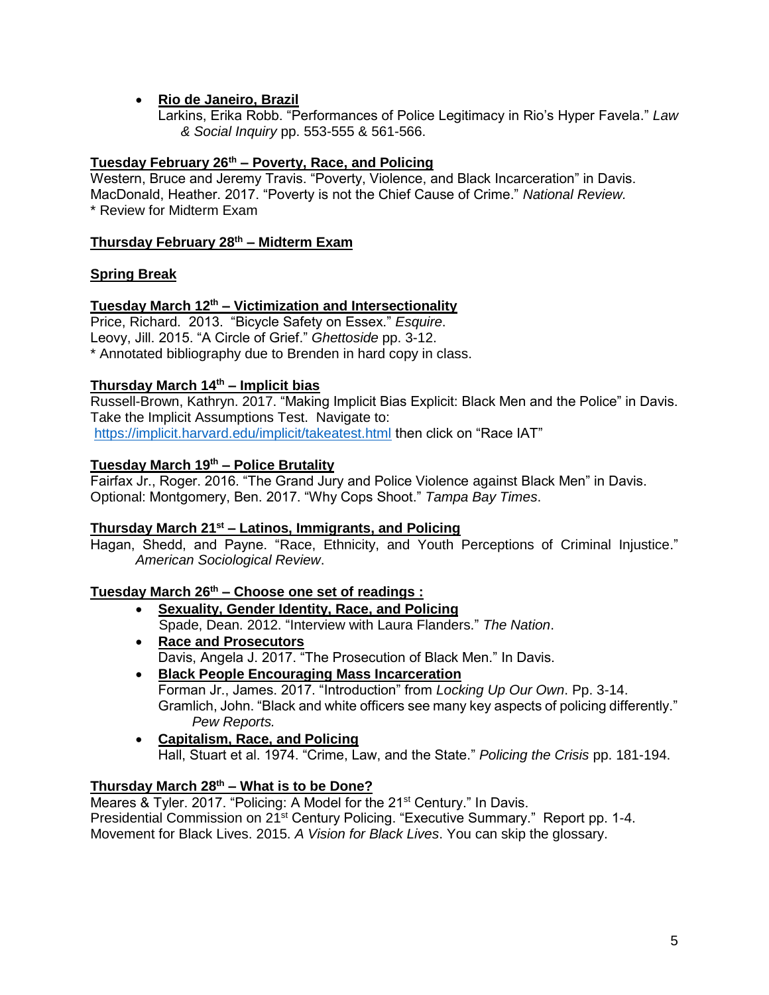## **Rio de Janeiro, Brazil**

Larkins, Erika Robb. "Performances of Police Legitimacy in Rio's Hyper Favela." *Law & Social Inquiry* pp. 553-555 & 561-566.

## **Tuesday February 26th – Poverty, Race, and Policing**

Western, Bruce and Jeremy Travis. "Poverty, Violence, and Black Incarceration" in Davis. MacDonald, Heather. 2017. "Poverty is not the Chief Cause of Crime." *National Review.* \* Review for Midterm Exam

## **Thursday February 28th – Midterm Exam**

# **Spring Break**

## **Tuesday March 12th – Victimization and Intersectionality**

Price, Richard. 2013. "Bicycle Safety on Essex." *Esquire*. Leovy, Jill. 2015. "A Circle of Grief." *Ghettoside* pp. 3-12. \* Annotated bibliography due to Brenden in hard copy in class.

## **Thursday March 14th – Implicit bias**

Russell-Brown, Kathryn. 2017. "Making Implicit Bias Explicit: Black Men and the Police" in Davis. Take the Implicit Assumptions Test. Navigate to: <https://implicit.harvard.edu/implicit/takeatest.html> then click on "Race IAT"

## **Tuesday March 19th – Police Brutality**

Fairfax Jr., Roger. 2016. "The Grand Jury and Police Violence against Black Men" in Davis. Optional: Montgomery, Ben. 2017. "Why Cops Shoot." *Tampa Bay Times*.

## **Thursday March 21st – Latinos, Immigrants, and Policing**

Hagan, Shedd, and Payne. "Race, Ethnicity, and Youth Perceptions of Criminal Injustice." *American Sociological Review*.

# **Tuesday March 26th – Choose one set of readings :**

- **Sexuality, Gender Identity, Race, and Policing** Spade, Dean. 2012. "Interview with Laura Flanders." *The Nation*.
- **Race and Prosecutors** Davis, Angela J. 2017. "The Prosecution of Black Men." In Davis.
- **Black People Encouraging Mass Incarceration** Forman Jr., James. 2017. "Introduction" from *Locking Up Our Own*. Pp. 3-14. Gramlich, John. "Black and white officers see many key aspects of policing differently." *Pew Reports.*
- **Capitalism, Race, and Policing** Hall, Stuart et al. 1974. "Crime, Law, and the State." *Policing the Crisis* pp. 181-194.

# **Thursday March 28th – What is to be Done?**

Meares & Tyler. 2017. "Policing: A Model for the 21<sup>st</sup> Century." In Davis. Presidential Commission on 21<sup>st</sup> Century Policing. "Executive Summary." Report pp. 1-4. Movement for Black Lives. 2015. *A Vision for Black Lives*. You can skip the glossary.